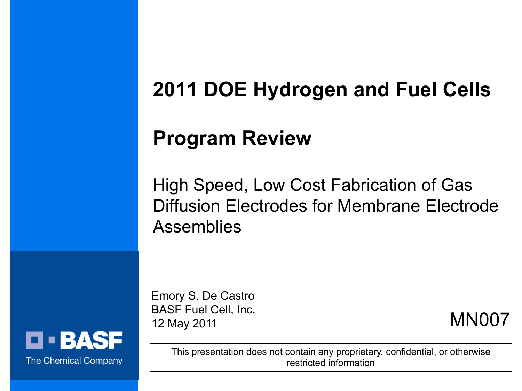# **2011 DOE Hydrogen and Fuel Cells**

## **Program Review**

High Speed, Low Cost Fabrication of Gas Diffusion Electrodes for Membrane Electrode Assemblies

Emory S. De Castro BASF Fuel Cell, Inc. 12 May 2011

MN007

This presentation does not contain any proprietary, confidential, or otherwise restricted information

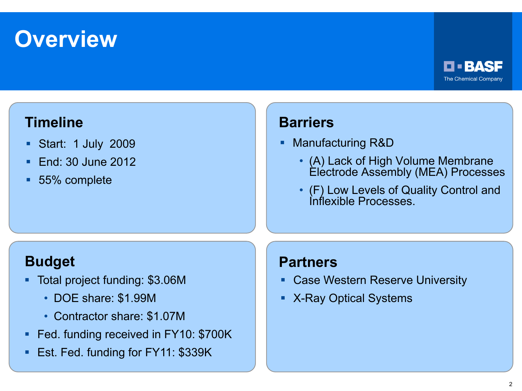## **Overview**



### **Timeline**

- Start: 1 July 2009
- **End: 30 June 2012**
- 55% complete

### **Barriers**

- Manufacturing R&D
	- (A) Lack of High Volume Membrane Electrode Assembly (MEA) Processes
	- (F) Low Levels of Quality Control and Inflexible Processes.

### **Budget**

- Total project funding: \$3.06M
	- DOE share: \$1.99M
	- Contractor share: \$1.07M
- Fed. funding received in FY10: \$700K
- **Est. Fed. funding for FY11: \$339K**

### **Partners**

- **EXEC** Case Western Reserve University
- X-Ray Optical Systems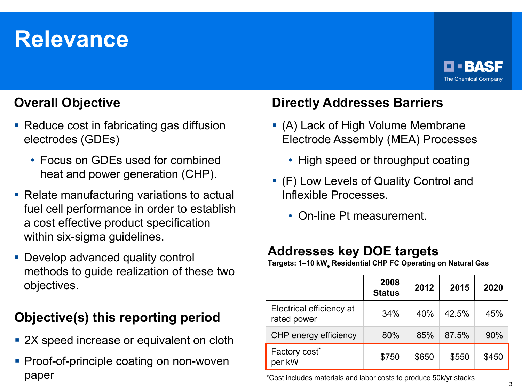# **Relevance**



### **Overall Objective**

- Reduce cost in fabricating gas diffusion electrodes (GDEs)
	- Focus on GDEs used for combined heat and power generation (CHP).
- **Relate manufacturing variations to actual** fuel cell performance in order to establish a cost effective product specification within six-sigma guidelines.
- **Develop advanced quality control** methods to guide realization of these two objectives.

### **Objective(s) this reporting period**

- 2X speed increase or equivalent on cloth
- **Proof-of-principle coating on non-woven** paper

### **Directly Addresses Barriers**

- (A) Lack of High Volume Membrane Electrode Assembly (MEA) Processes
	- High speed or throughput coating
- (F) Low Levels of Quality Control and Inflexible Processes.
	- On-line Pt measurement.

### **Addresses key DOE targets**

Targets: 1-10 kW<sub>a</sub> Residential CHP FC Operating on Natural Gas

|                                         | 2008<br><b>Status</b> | 2012  | 2015  | 2020  |
|-----------------------------------------|-----------------------|-------|-------|-------|
| Electrical efficiency at<br>rated power | 34%                   | 40%   | 42.5% | 45%   |
| CHP energy efficiency                   | 80%                   | 85%   | 87.5% | 90%   |
| Factory cost <sup>*</sup><br>per kW     | \$750                 | \$650 | \$550 | \$450 |

\*Cost includes materials and labor costs to produce 50k/yr stacks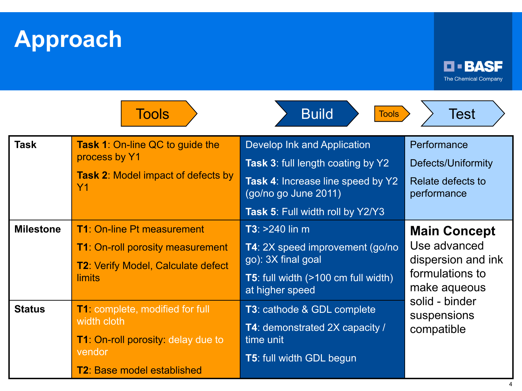**Approach**



|                  | <b>Tools</b>                                                                                                                                      | <b>Build</b><br><b>Tools</b>                                                                                                                                             | Test                                                                                         |  |
|------------------|---------------------------------------------------------------------------------------------------------------------------------------------------|--------------------------------------------------------------------------------------------------------------------------------------------------------------------------|----------------------------------------------------------------------------------------------|--|
| <b>Task</b>      | <b>Task 1: On-line QC to guide the</b><br>process by Y1<br><b>Task 2: Model impact of defects by</b><br><b>Y1</b>                                 | Develop Ink and Application<br><b>Task 3: full length coating by Y2</b><br>Task 4: Increase line speed by Y2<br>(go/no go June 2011)<br>Task 5: Full width roll by Y2/Y3 | Performance<br>Defects/Uniformity<br>Relate defects to<br>performance                        |  |
| <b>Milestone</b> | <b>T1: On-line Pt measurement</b><br><b>T1: On-roll porosity measurement</b><br><b>T2: Verify Model, Calculate defect</b><br>limits               | $T3: > 240$ lin m<br>T4: 2X speed improvement (go/no<br>go): 3X final goal<br><b>T5</b> : full width (>100 cm full width)<br>at higher speed                             | <b>Main Concept</b><br>Use advanced<br>dispersion and ink<br>formulations to<br>make aqueous |  |
| <b>Status</b>    | <b>T1:</b> complete, modified for full<br>width cloth<br><b>T1: On-roll porosity: delay due to</b><br>vendor<br><b>T2: Base model established</b> | <b>T3</b> : cathode & GDL complete<br>T4: demonstrated 2X capacity /<br>time unit<br><b>T5: full width GDL begun</b>                                                     | solid - binder<br>suspensions<br>compatible                                                  |  |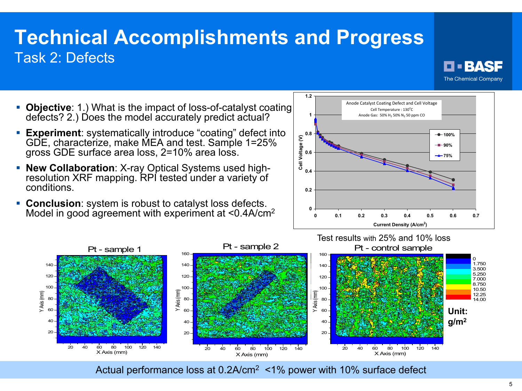### **Technical Accomplishments and Progress** Task 2: Defects



- **Objective**: 1.) What is the impact of loss-of-catalyst coating defects? 2.) Does the model accurately predict actual?
- **Experiment**: systematically introduce "coating" defect into GDE, characterize, make MEA and test. Sample 1=25% gross GDE surface area loss, 2=10% area loss.
- **New Collaboration**: X-ray Optical Systems used high- resolution XRF mapping. RPI tested under a variety of conditions.
- **Conclusion**: system is robust to catalyst loss defects. Model in good agreement with experiment at <0.4A/cm<sup>2</sup>





Actual performance loss at 0.2A/cm<sup>2</sup> <1% power with 10% surface defect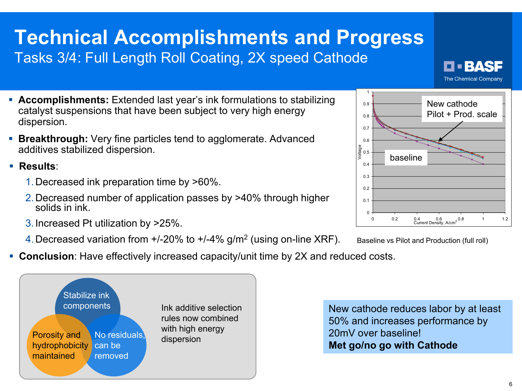### **Technical Accomplishments and Progress** Tasks 3/4: Full Length Roll Coating, 2X speed Cathode



- **Accomplishments:** Extended last year's ink formulations to stabilizing catalyst suspensions that have been subject to very high energy  $0.2$ 0.3 0.4 e<br>9<br>><br>> 0.6 0.7 0.8 0.9 1 baseline New cathode Pilot + Prod. scale
- dispersion. **Breakthrough:** Very fine particles tend to agglomerate. Advanced additives stabilized dispersion.

**Results**:

- 1.Decreased ink preparation time by >60%.
- 2.Decreased number of application passes by >40% through higher solids in ink.
- 3.Increased Pt utilization by >25%.
- 4.Decreased variation from +/-20% to +/-4% g/m2 (using on-line XRF).





**Conclusion**: Have effectively increased capacity/unit time by 2X and reduced costs.



New cathode reduces labor by at least 50% and increases performance by 20mV over baseline! **Met go/no go with Cathode**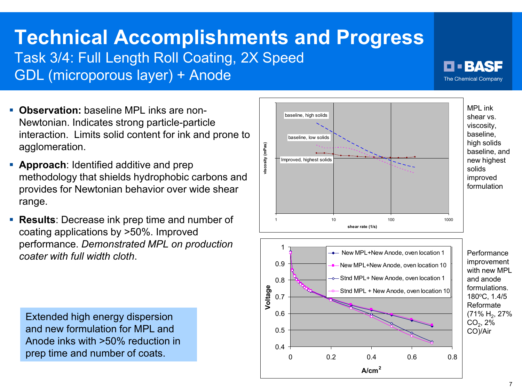# **Technical Accomplishments and Progress**

Task 3/4: Full Length Roll Coating, 2X Speed

GDL (microporous layer) + Anode

- **Observation:** baseline MPL inks are non-Newtonian. Indicates strong particle-particle interaction. Limits solid content for ink and prone to agglomeration.
- **Approach:** Identified additive and prep methodology that shields hydrophobic carbons and provides for Newtonian behavior over wide shear range.
- **Results**: Decrease ink prep time and number of coating applications by >50%. Improved performance. *Demonstrated MPL on production coater with full width cloth*.

Extended high energy dispersion and new formulation for MPL and Anode inks with >50% reduction in prep time and number of coats.



O BASF The Chemical Company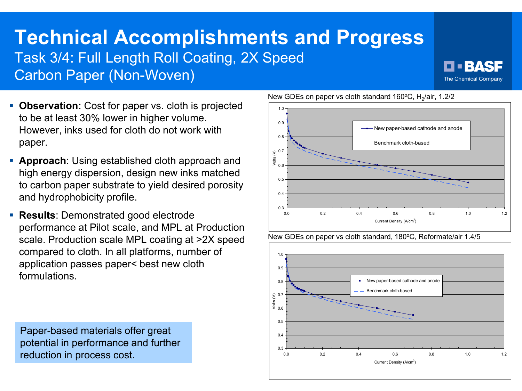## **Technical Accomplishments and Progress** Task 3/4: Full Length Roll Coating, 2X Speed

Carbon Paper (Non-Woven)



- **Observation:** Cost for paper vs. cloth is projected to be at least 30% lower in higher volume. However, inks used for cloth do not work with paper.
- **Approach**: Using established cloth approach and high energy dispersion, design new inks matched to carbon paper substrate to yield desired porosity and hydrophobicity profile.
- **Results: Demonstrated good electrode** performance at Pilot scale, and MPL at Production scale. Production scale MPL coating at >2X speed compared to cloth. In all platforms, number of application passes paper< best new cloth formulations.

Paper-based materials offer great potential in performance and further reduction in process cost.  $\begin{bmatrix} 0.3 + 0.3 + 0.3 + 0.3 \end{bmatrix}$ 



New GDEs on paper vs cloth standard 160°C, H<sub>2</sub>/air, 1.2/2



New GDEs on paper vs cloth standard, 180°C, Reformate/air 1.4/5

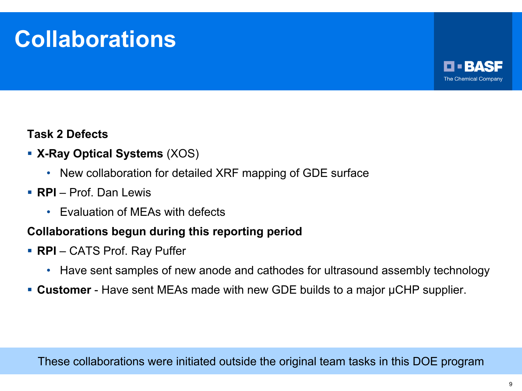# **Collaborations**



### **Task 2 Defects**

- **X-Ray Optical Systems** (XOS)
	- New collaboration for detailed XRF mapping of GDE surface
- **RPI** Prof. Dan Lewis
	- Evaluation of MEAs with defects

### **Collaborations begun during this reporting period**

- **RPI** CATS Prof. Ray Puffer
	- Have sent samples of new anode and cathodes for ultrasound assembly technology
- **Customer** Have sent MEAs made with new GDE builds to a major μCHP supplier.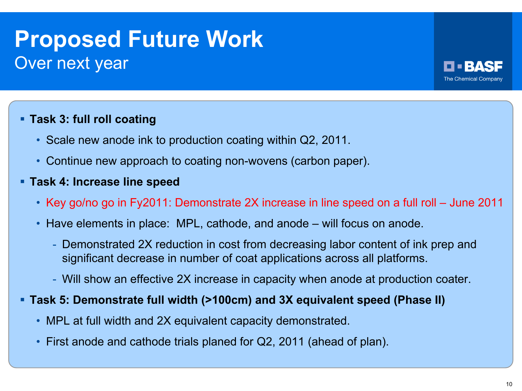## **Proposed Future Work** Over next year



### **Task 3: full roll coating**

- Scale new anode ink to production coating within Q2, 2011.
- Continue new approach to coating non-wovens (carbon paper).

### **Task 4: Increase line speed**

- Key go/no go in Fy2011: Demonstrate 2X increase in line speed on a full roll June 2011
- Have elements in place: MPL, cathode, and anode will focus on anode.
	- Demonstrated 2X reduction in cost from decreasing labor content of ink prep and significant decrease in number of coat applications across all platforms.
	- Will show an effective 2X increase in capacity when anode at production coater.

#### **Task 5: Demonstrate full width (>100cm) and 3X equivalent speed (Phase II)**

- MPL at full width and 2X equivalent capacity demonstrated.
- First anode and cathode trials planed for Q2, 2011 (ahead of plan).